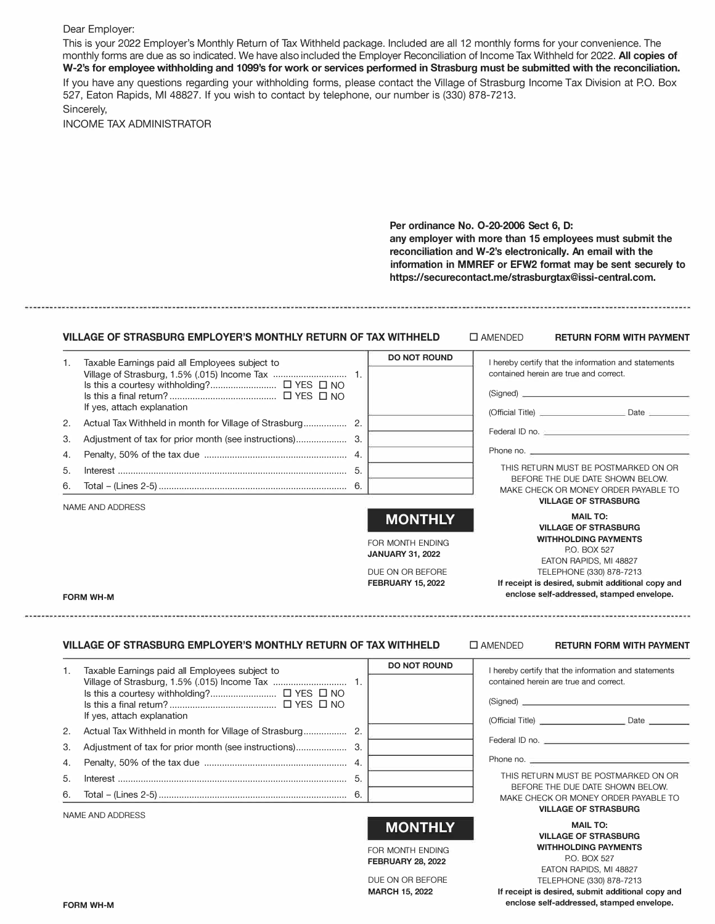#### Dear Employer:

This is your 2022 Employer's Monthly Return of Tax Withheld package. Included are all 12 monthly forms for your convenience. The monthly forms are due as so indicated. We have also included the Employer Reconciliation of Income Tax Withheld for 2022. **All copies of W-2's for employee withholding and 1099's for work or services performed in Strasburg must be submitted with the reconciliation.** If you have any questions regarding your withholding forms, please contact the Village of Strasburg Income Tax Division at PO. Box 527, Eaton Rapids, Ml 48827. If you wish to contact by telephone, our number is (330) 878-7213. Sincerely,

INCOME TAX ADMINISTRATOR

**Per ordinance No. 0-20-2006 Sect 6, D: any employer with more than 15 employees must submit the reconciliation and W-2's electronically. An email with the information in MMREF or EFW2 format may be sent securely to https://securecontact.me/strasburgtax@issi-central.com.** 

### **VILLAGE OF STRASBURG EMPLOYER'S MONTHLY RETURN OF TAX WITHHELD**  $\Box$  **AMENDED RETURN FORM WITH PAYMENT**

| 1. | Taxable Earnings paid all Employees subject to |    | <b>DO NOT ROUND</b> | I hereby certify that the information and statements                                                                                                                                                                          |
|----|------------------------------------------------|----|---------------------|-------------------------------------------------------------------------------------------------------------------------------------------------------------------------------------------------------------------------------|
|    |                                                |    |                     | contained herein are true and correct.<br>$(Signed)$ $\qquad \qquad \qquad$                                                                                                                                                   |
|    | If yes, attach explanation                     |    |                     |                                                                                                                                                                                                                               |
| 2. |                                                |    |                     | Federal ID no. 2008 Committee Contract of the Contract of the Contract of the Contract of the Contract of the Contract of the Contract of the Contract of the Contract of the Contract of the Contract of the Contract of the |
| 3. |                                                |    |                     |                                                                                                                                                                                                                               |
| 4. |                                                |    |                     | Phone no.                                                                                                                                                                                                                     |
| 5. |                                                | 5. |                     | THIS RETURN MUST BE POSTMARKED ON OR                                                                                                                                                                                          |
| 6. |                                                |    |                     | BEFORE THE DUE DATE SHOWN BELOW.<br>MAKE CHECK OR MONEY ORDER PAYABLE TO                                                                                                                                                      |
|    | NAME AND ADDRESS                               |    |                     | <b>VILLAGE OF STRASBURG</b>                                                                                                                                                                                                   |
|    |                                                |    | <b>MONTHLY</b>      | <b>MAIL TO:</b><br><b>VILLAGE OF STRASBURG</b>                                                                                                                                                                                |
|    |                                                |    | EOD MONITH ENDING   | <b>WITHHOLDING PAYMENTS</b>                                                                                                                                                                                                   |

FOR MONTH ENDING **JANUARY 31, 2022**

DUE ON OR BEFORE **FEBRUARY 15, 2022**

FORM WH-M

## **VILLAGE OF STRASBURG EMPLOYER'S MONTHLY RETURN OF TAX WITHHELD**

#### D AMENDED **RETURN FORM WITH PAYMENT**

P.O. BOX 527 EATON RAPIDS, Ml 48827 TELEPHONE (330) 878-7213 **If receipt is desired, submit additional copy and enclose self-addressed, stamped envelope.** 

| 1. | Taxable Earnings paid all Employees subject to<br>If yes, attach explanation | <b>DO NOT ROUND</b> | I hereby certify that the information and statements<br>contained herein are true and correct.          |
|----|------------------------------------------------------------------------------|---------------------|---------------------------------------------------------------------------------------------------------|
| 2. |                                                                              |                     |                                                                                                         |
| 3. |                                                                              |                     | Federal ID no.                                                                                          |
|    |                                                                              |                     | Phone no.                                                                                               |
| 5. |                                                                              |                     | THIS RETURN MUST BE POSTMARKED ON OR                                                                    |
|    |                                                                              |                     | BEFORE THE DUE DATE SHOWN BELOW.<br>MAKE CHECK OR MONEY ORDER PAYABLE TO<br><b>VILLAGE OF STRASBURG</b> |
|    | NAME AND ADDRESS                                                             |                     |                                                                                                         |

**MONTHLY** 

FOR MONTH ENDING **FEBRUARY 28, 2022**

DUE ON OR BEFORE **MARCH** 15, **2022**

**MAIL TO: VILLAGE OF STRASBURG WITHHOLDING PAYMENTS**  P.O. BOX 527 EATON RAPIDS, Ml 48827 TELEPHONE (330) 878-7213

**If receipt is desired, submit additional copy and enclose self-addressed, stamped envelope.**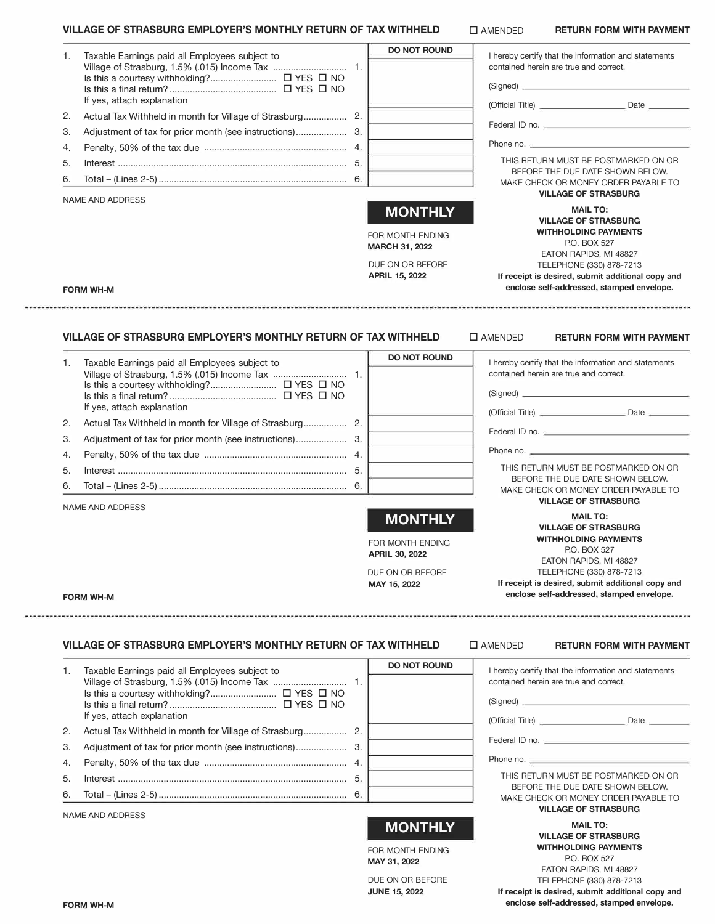#### **VILLAGE OF STRASBURG EMPLOYER'S MONTHLY RETURN OF TAX WITHHELD**

|    | VILLAGE OF STRASBURG EMPLOYER'S MONTHLY RETURN OF TAX WITHHELD               |                                                                                                   | $\square$ AMENDED | <b>RETURN FORM WITH PAYMENT</b>                                                                                                                                                                                                                       |
|----|------------------------------------------------------------------------------|---------------------------------------------------------------------------------------------------|-------------------|-------------------------------------------------------------------------------------------------------------------------------------------------------------------------------------------------------------------------------------------------------|
| 1. | Taxable Earnings paid all Employees subject to<br>If yes, attach explanation | <b>DO NOT ROUND</b>                                                                               |                   | I hereby certify that the information and statements<br>contained herein are true and correct.                                                                                                                                                        |
| 2. |                                                                              |                                                                                                   |                   |                                                                                                                                                                                                                                                       |
| 3. |                                                                              |                                                                                                   |                   |                                                                                                                                                                                                                                                       |
| 4. |                                                                              |                                                                                                   |                   |                                                                                                                                                                                                                                                       |
| 5. |                                                                              |                                                                                                   |                   | THIS RETURN MUST BE POSTMARKED ON OR                                                                                                                                                                                                                  |
| 6. |                                                                              |                                                                                                   |                   | BEFORE THE DUE DATE SHOWN BELOW.<br>MAKE CHECK OR MONEY ORDER PAYABLE TO<br><b>VILLAGE OF STRASBURG</b>                                                                                                                                               |
|    | NAME AND ADDRESS<br><b>FORM WH-M</b>                                         | <b>MONTHLY</b><br>FOR MONTH ENDING<br><b>MARCH 31, 2022</b><br>DUE ON OR BEFORE<br>APRIL 15, 2022 |                   | <b>MAIL TO:</b><br><b>VILLAGE OF STRASBURG</b><br><b>WITHHOLDING PAYMENTS</b><br>P.O. BOX 527<br>EATON RAPIDS, MI 48827<br>TELEPHONE (330) 878-7213<br>If receipt is desired, submit additional copy and<br>enclose self-addressed, stamped envelope. |
|    | VILLAGE OF STRASBURG EMPLOYER'S MONTHLY RETURN OF TAX WITHHELD               |                                                                                                   | $\square$ AMENDED | <b>RETURN FORM WITH PAYMENT</b>                                                                                                                                                                                                                       |
| 1. | Taxable Earnings paid all Employees subject to                               | <b>DO NOT ROUND</b>                                                                               |                   | I hereby certify that the information and statements<br>contained herein are true and correct.<br>(Signed)                                                                                                                                            |
|    | If yes, attach explanation                                                   |                                                                                                   |                   |                                                                                                                                                                                                                                                       |
| 2. |                                                                              |                                                                                                   |                   | Federal ID no. 2008 - 2009 - 2009 - 2010 - 2010 - 2010 - 2010 - 2010 - 2010 - 2010 - 2010 - 2010 - 2010 - 2010                                                                                                                                        |
| 3. |                                                                              |                                                                                                   |                   | Phone no.                                                                                                                                                                                                                                             |
| 4. |                                                                              |                                                                                                   |                   | THIS RETURN MUST BE POSTMARKED ON OR                                                                                                                                                                                                                  |
| 5. |                                                                              |                                                                                                   |                   | BEFORE THE DUE DATE SHOWN BELOW.                                                                                                                                                                                                                      |
| 6. |                                                                              |                                                                                                   |                   | MAKE CHECK OR MONEY ORDER PAYABLE TO                                                                                                                                                                                                                  |
|    | NAME AND ADDRESS                                                             |                                                                                                   |                   | <b>VILLAGE OF STRASBURG</b>                                                                                                                                                                                                                           |
|    |                                                                              | <b>MONTHLY</b>                                                                                    |                   | <b>MAIL TO:</b><br><b>VILLAGE OF STRASBURG</b>                                                                                                                                                                                                        |
|    |                                                                              | FOR MONTH ENDING<br><b>APRIL 30, 2022</b>                                                         |                   | <b>WITHHOLDING PAYMENTS</b><br>P.O. BOX 527                                                                                                                                                                                                           |
|    |                                                                              | DUE ON OR BEFORE                                                                                  |                   | EATON RAPIDS, MI 48827<br>TELEPHONE (330) 878-7213                                                                                                                                                                                                    |
|    | <b>FORM WH-M</b>                                                             | MAY 15, 2022                                                                                      |                   | If receipt is desired, submit additional copy and<br>enclose self-addressed, stamped envelope.                                                                                                                                                        |
|    |                                                                              |                                                                                                   |                   |                                                                                                                                                                                                                                                       |
|    | VILLAGE OF STRASBURG EMPLOYER'S MONTHLY RETURN OF TAX WITHHELD               | <b>DO NOT ROUND</b>                                                                               | $\square$ AMENDED | <b>RETURN FORM WITH PAYMENT</b>                                                                                                                                                                                                                       |
| 1. | Taxable Earnings paid all Employees subject to<br>If yes, attach explanation |                                                                                                   |                   | I hereby certify that the information and statements<br>contained herein are true and correct.                                                                                                                                                        |
| 2. |                                                                              |                                                                                                   |                   |                                                                                                                                                                                                                                                       |

6.

**MONTHLY** 

FOR MONTH ENDING **MAY 31, 2022** DUE ON OR BEFORE **JUNE** 15, **2022**

Federal ID no. \_

Phone no. \_

THIS RETURN MUST BE POSTMARKED ON OR BEFORE THE DUE DATE SHOWN BELOW. MAKE CHECK OR MONEY ORDER PAYABLE TO **VILLAGE OF STRASBURG** 

**MAIL TO:** 

**VILLAGE OF STRASBURG WITHHOLDING PAYMENTS**  P.O. BOX 527 EATON RAPIDS, Ml 48827 TELEPHONE (330) 878-7213 **If receipt is desired, submit additional copy and enclose self-addressed, stamped envelope.** 

## **FORM WH-M**

--------

--------

NAME AND ADDRESS

3. Adjustment of tax for prior month (see instructions) .................... 3. 4. Penalty, 50% of the tax due . . . . . . . . . . . . . . . . . . . . . . . . . . . . . . . . . . . . . . . . . . . . . . . . . . . . . . . . 4. 5. Interest .......................................................................................... 5. 6. Total - (Lines 2-5) ..........................................................................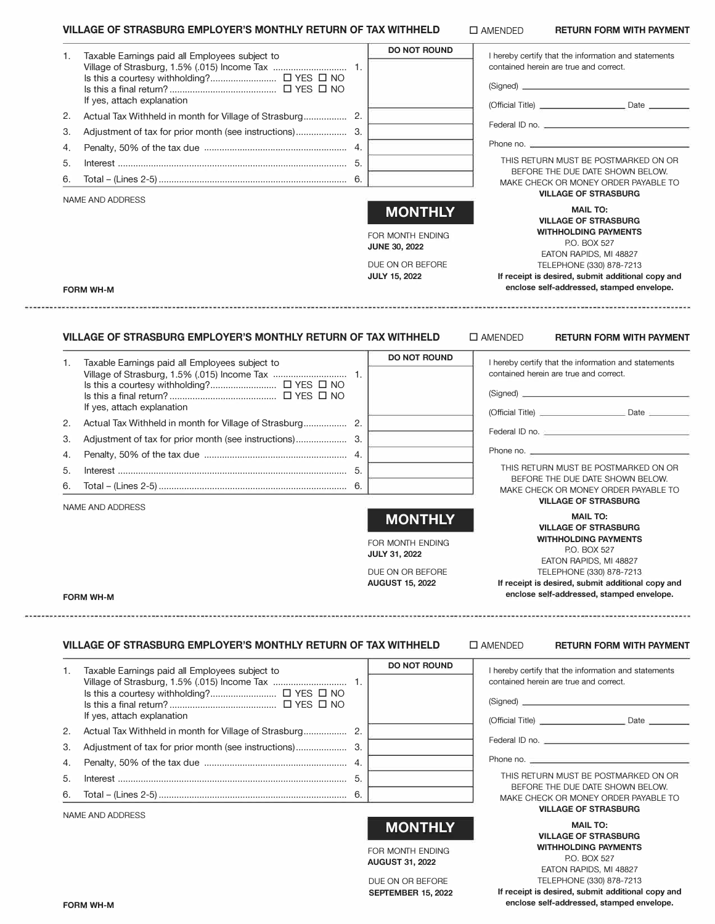#### **VILLAGE OF STRASBURG EMPLOYER'S MONTHLY RETURN OF TAX WITHHELD**

| 1. | Taxable Earnings paid all Employees subject to<br>If yes, attach explanation                                     | <b>DO NOT ROUND</b>                                                                                    | I hereby certify that the information and statements<br>contained herein are true and correct.<br>(Signed) <u>contract and the set of the set of the set of the set of the set of the set of the set of the set of the set of the set of the set of the set of the set of the set of the set of the set of the set of the set of t</u> |
|----|------------------------------------------------------------------------------------------------------------------|--------------------------------------------------------------------------------------------------------|----------------------------------------------------------------------------------------------------------------------------------------------------------------------------------------------------------------------------------------------------------------------------------------------------------------------------------------|
| 2. |                                                                                                                  |                                                                                                        |                                                                                                                                                                                                                                                                                                                                        |
| 3. |                                                                                                                  |                                                                                                        | Federal ID no.                                                                                                                                                                                                                                                                                                                         |
| 4. |                                                                                                                  |                                                                                                        |                                                                                                                                                                                                                                                                                                                                        |
| 5. |                                                                                                                  |                                                                                                        | THIS RETURN MUST BE POSTMARKED ON OR                                                                                                                                                                                                                                                                                                   |
| 6. |                                                                                                                  |                                                                                                        | BEFORE THE DUE DATE SHOWN BELOW.                                                                                                                                                                                                                                                                                                       |
|    |                                                                                                                  |                                                                                                        | MAKE CHECK OR MONEY ORDER PAYABLE TO<br><b>VILLAGE OF STRASBURG</b>                                                                                                                                                                                                                                                                    |
|    | NAME AND ADDRESS<br><b>FORM WH-M</b>                                                                             | <b>MONTHLY</b><br>FOR MONTH ENDING<br><b>JUNE 30, 2022</b><br>DUE ON OR BEFORE<br><b>JULY 15, 2022</b> | <b>MAIL TO:</b><br><b>VILLAGE OF STRASBURG</b><br><b>WITHHOLDING PAYMENTS</b><br>P.O. BOX 527<br>EATON RAPIDS, MI 48827<br>TELEPHONE (330) 878-7213<br>If receipt is desired, submit additional copy and<br>enclose self-addressed, stamped envelope.                                                                                  |
| 1. | VILLAGE OF STRASBURG EMPLOYER'S MONTHLY RETURN OF TAX WITHHELD<br>Taxable Earnings paid all Employees subject to | <b>DO NOT ROUND</b>                                                                                    | $\square$ AMENDED<br><b>RETURN FORM WITH PAYMENT</b><br>I hereby certify that the information and statements                                                                                                                                                                                                                           |
|    |                                                                                                                  |                                                                                                        | contained herein are true and correct.                                                                                                                                                                                                                                                                                                 |
|    |                                                                                                                  |                                                                                                        |                                                                                                                                                                                                                                                                                                                                        |
|    | If yes, attach explanation                                                                                       |                                                                                                        |                                                                                                                                                                                                                                                                                                                                        |
| 2. |                                                                                                                  |                                                                                                        | Federal ID no. 2 <b>Contract Contract Contract Contract Contract Contract Contract Contract Contract Contract Contract Contract Contract Contract Contract Contract Contract Contract Contract Contract Contract Contract Contra</b>                                                                                                   |
| 3. |                                                                                                                  |                                                                                                        |                                                                                                                                                                                                                                                                                                                                        |
| 4. |                                                                                                                  |                                                                                                        | Phone no.                                                                                                                                                                                                                                                                                                                              |
| 5. | Interest 5.                                                                                                      |                                                                                                        | THIS RETURN MUST BE POSTMARKED ON OR<br>BEFORE THE DUE DATE SHOWN BELOW.                                                                                                                                                                                                                                                               |
| 6. |                                                                                                                  |                                                                                                        | MAKE CHECK OR MONEY ORDER PAYABLE TO                                                                                                                                                                                                                                                                                                   |
|    | NAME AND ADDRESS                                                                                                 |                                                                                                        | <b>VILLAGE OF STRASBURG</b>                                                                                                                                                                                                                                                                                                            |
|    |                                                                                                                  | <b>MONTHLY</b>                                                                                         | <b>MAIL TO:</b>                                                                                                                                                                                                                                                                                                                        |
|    |                                                                                                                  |                                                                                                        | <b>VILLAGE OF STRASBURG</b><br><b>WITHHOLDING PAYMENTS</b>                                                                                                                                                                                                                                                                             |
|    |                                                                                                                  | FOR MONTH ENDING<br><b>JULY 31, 2022</b>                                                               | P.O. BOX 527                                                                                                                                                                                                                                                                                                                           |
|    |                                                                                                                  |                                                                                                        | EATON RAPIDS, MI 48827                                                                                                                                                                                                                                                                                                                 |
|    |                                                                                                                  | DUE ON OR BEFORE<br><b>AUGUST 15, 2022</b>                                                             | TELEPHONE (330) 878-7213<br>If receipt is desired, submit additional copy and                                                                                                                                                                                                                                                          |
|    | <b>FORM WH-M</b>                                                                                                 |                                                                                                        | enclose self-addressed, stamped envelope.                                                                                                                                                                                                                                                                                              |

NAME AND ADDRESS

# **MONTHLY**

FOR MONTH ENDING **AUGUST 31, 2022**

DUE ON OR BEFORE **SEPTEMBER 15, 2022**

**MAIL TO: VILLAGE OF STRASBURG WITHHOLDING PAYMENTS**  P.O. BOX 527 EATON RAPIDS, Ml 48827

**VILLAGE OF STRASBURG** 

TELEPHONE (330) 878-7213 **If receipt is desired, submit additional copy and enclose self-addressed, stamped envelope.**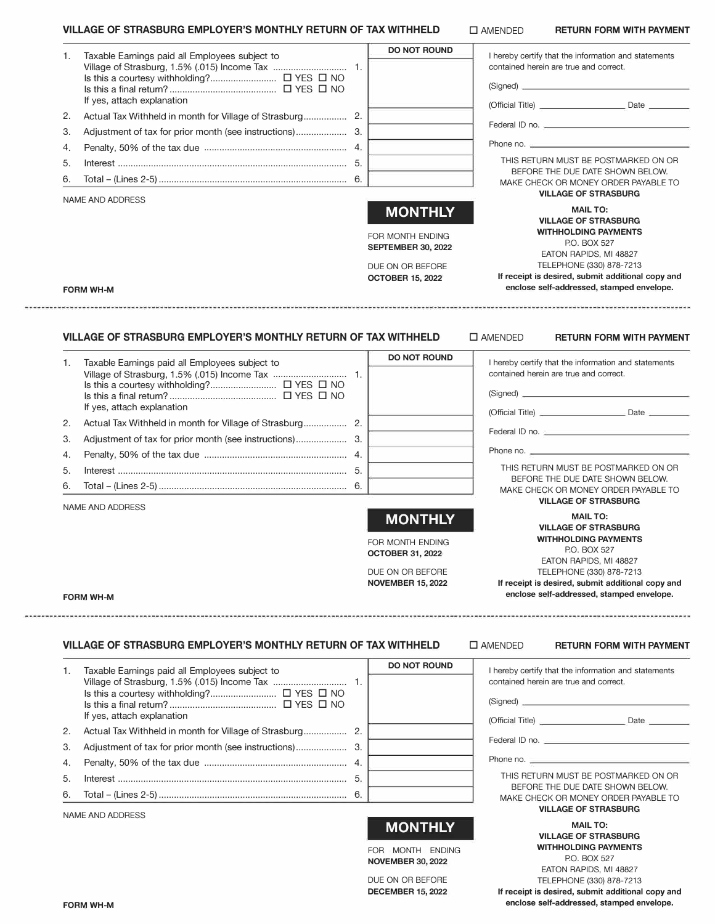## **VILLAGE OF STRASBURG EMPLOYER'S MONTHLY RETURN OF TAX WITHHELD**

□ AMENDED **RETURN FORM WITH PAYMENT** 

| 1. | Taxable Earnings paid all Employees subject to                                     | <b>DO NOT ROUND</b>                           | I hereby certify that the information and statements<br>contained herein are true and correct.                                                                                                                                                                                          |
|----|------------------------------------------------------------------------------------|-----------------------------------------------|-----------------------------------------------------------------------------------------------------------------------------------------------------------------------------------------------------------------------------------------------------------------------------------------|
|    | If yes, attach explanation                                                         |                                               | (Signed) <u>contract the contract of</u> the contract of the contract of the contract of the contract of the contract of the contract of the contract of the contract of the contract of the contract of the contract of the contra                                                     |
| 2. |                                                                                    |                                               |                                                                                                                                                                                                                                                                                         |
| 3. |                                                                                    |                                               | Federal ID no.                                                                                                                                                                                                                                                                          |
| 4. |                                                                                    |                                               | Phone no. $\frac{1}{2}$ and $\frac{1}{2}$ and $\frac{1}{2}$ and $\frac{1}{2}$ and $\frac{1}{2}$ and $\frac{1}{2}$ and $\frac{1}{2}$ and $\frac{1}{2}$ and $\frac{1}{2}$ and $\frac{1}{2}$ and $\frac{1}{2}$ and $\frac{1}{2}$ and $\frac{1}{2}$ and $\frac{1}{2}$ and $\frac{1}{2}$ and |
| 5. |                                                                                    |                                               | THIS RETURN MUST BE POSTMARKED ON OR                                                                                                                                                                                                                                                    |
| 6. |                                                                                    |                                               | BEFORE THE DUE DATE SHOWN BELOW.                                                                                                                                                                                                                                                        |
|    | <b>NAME AND ADDRESS</b>                                                            |                                               | MAKE CHECK OR MONEY ORDER PAYABLE TO<br><b>VILLAGE OF STRASBURG</b>                                                                                                                                                                                                                     |
|    |                                                                                    | <b>MONTHLY</b>                                | <b>MAIL TO:</b><br><b>VILLAGE OF STRASBURG</b>                                                                                                                                                                                                                                          |
|    |                                                                                    | FOR MONTH ENDING<br><b>SEPTEMBER 30, 2022</b> | <b>WITHHOLDING PAYMENTS</b><br>P.O. BOX 527                                                                                                                                                                                                                                             |
|    |                                                                                    |                                               | EATON RAPIDS, MI 48827<br>TELEPHONE (330) 878-7213                                                                                                                                                                                                                                      |
|    | <b>FORM WH-M</b>                                                                   | DUE ON OR BEFORE<br><b>OCTOBER 15, 2022</b>   | If receipt is desired, submit additional copy and<br>enclose self-addressed, stamped envelope.                                                                                                                                                                                          |
| 1. | Taxable Earnings paid all Employees subject to<br>If yes, attach explanation       | <b>DO NOT ROUND</b>                           | I hereby certify that the information and statements<br>contained herein are true and correct.<br>(Signed)                                                                                                                                                                              |
| 2. |                                                                                    |                                               |                                                                                                                                                                                                                                                                                         |
| 3. |                                                                                    |                                               | Federal ID no. 2008 - 2009 - 2009 - 2010 - 2010 - 2010 - 2010 - 2010 - 2010 - 2010 - 2010 - 2010 - 2010 - 2010                                                                                                                                                                          |
| 4. |                                                                                    |                                               |                                                                                                                                                                                                                                                                                         |
| 5. |                                                                                    |                                               | THIS RETURN MUST BE POSTMARKED ON OR                                                                                                                                                                                                                                                    |
| 6. |                                                                                    |                                               | BEFORE THE DUE DATE SHOWN BELOW.<br>MAKE CHECK OR MONEY ORDER PAYABLE TO                                                                                                                                                                                                                |
|    | NAME AND ADDRESS                                                                   |                                               | <b>VILLAGE OF STRASBURG</b>                                                                                                                                                                                                                                                             |
|    |                                                                                    | <b>MONTHLY</b>                                | <b>MAIL TO:</b><br><b>VILLAGE OF STRASBURG</b>                                                                                                                                                                                                                                          |
|    |                                                                                    | FOR MONTH ENDING<br><b>OCTOBER 31, 2022</b>   | <b>WITHHOLDING PAYMENTS</b><br>P.O. BOX 527                                                                                                                                                                                                                                             |
|    |                                                                                    |                                               | EATON RAPIDS, MI 48827                                                                                                                                                                                                                                                                  |
|    |                                                                                    | DUE ON OR BEFORE<br><b>NOVEMBER 15, 2022</b>  | TELEPHONE (330) 878-7213<br>If receipt is desired, submit additional copy and<br>enclose self-addressed, stamped envelope.                                                                                                                                                              |
|    | <b>FORM WH-M</b><br>VILLAGE OF STRASBURG EMPLOYER'S MONTHLY RETURN OF TAX WITHHELD |                                               | $\square$ AMENDED<br><b>RETURN FORM WITH PAYMENT</b>                                                                                                                                                                                                                                    |
| 1. | Taxable Earnings paid all Employees subject to                                     | <b>DO NOT ROUND</b>                           | I hereby certify that the information and statements                                                                                                                                                                                                                                    |
|    |                                                                                    |                                               | contained herein are true and correct.                                                                                                                                                                                                                                                  |
|    |                                                                                    |                                               |                                                                                                                                                                                                                                                                                         |
|    | If yes, attach explanation                                                         |                                               |                                                                                                                                                                                                                                                                                         |
| 2. |                                                                                    |                                               |                                                                                                                                                                                                                                                                                         |
| 3. |                                                                                    |                                               |                                                                                                                                                                                                                                                                                         |
| 4. |                                                                                    |                                               |                                                                                                                                                                                                                                                                                         |
| 5. |                                                                                    |                                               | THIS RETURN MUST BE POSTMARKED ON OR<br>BEFORE THE DUE DATE SHOWN BELOW.                                                                                                                                                                                                                |
| 6. |                                                                                    |                                               | MAKE CHECK OR MONEY ORDER PAYABLE TO<br><b>VILLAGE OF STRASBURG</b>                                                                                                                                                                                                                     |
|    | NAME AND ADDRESS                                                                   |                                               | <b>MAIL TO:</b>                                                                                                                                                                                                                                                                         |
|    |                                                                                    | <b>MONTHLY</b><br>FOR MONTH FNDING            | <b>VILLAGE OF STRASBURG</b><br><b>WITHHOLDING PAYMENTS</b>                                                                                                                                                                                                                              |

FOR MONTH ENDING **NOVEMBER 30, 2022**

DUE ON OR BEFORE **DECEMBER 15, 2022**

EATON RAPIDS, Ml 48827 TELEPHONE (330) 878-7213 **If receipt is desired, submit additional copy and enclose self-addressed, stamped envelope.** 

P.O. BOX 527